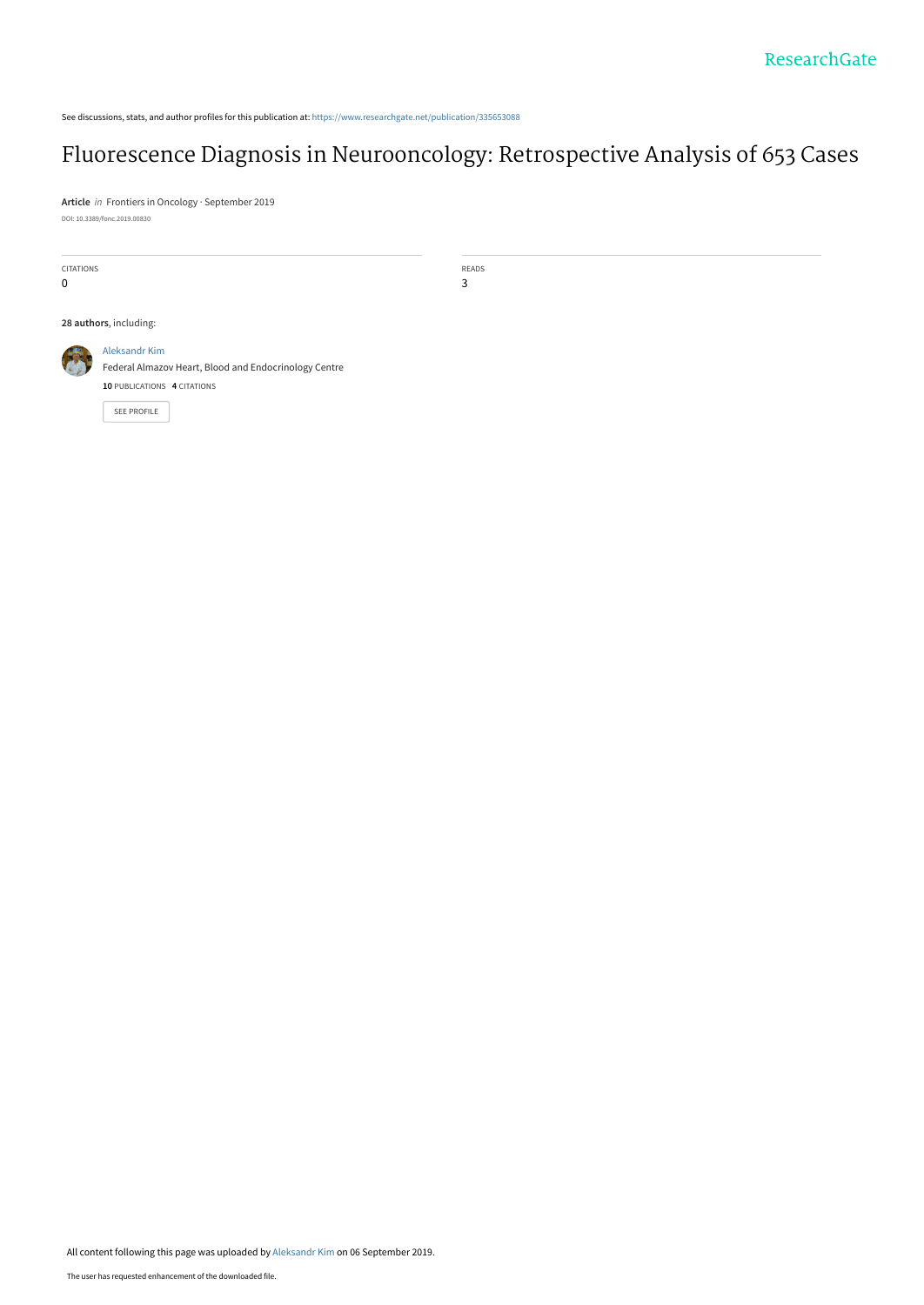See discussions, stats, and author profiles for this publication at: [https://www.researchgate.net/publication/335653088](https://www.researchgate.net/publication/335653088_Fluorescence_Diagnosis_in_Neurooncology_Retrospective_Analysis_of_653_Cases?enrichId=rgreq-eb723b6eeb834832b8bedb8c8d9091e7-XXX&enrichSource=Y292ZXJQYWdlOzMzNTY1MzA4ODtBUzo4MDAwNjY2ODgyNzg1MjhAMTU2Nzc2MjE3MTMxNQ%3D%3D&el=1_x_2&_esc=publicationCoverPdf)

# [Fluorescence Diagnosis in Neurooncology: Retrospective Analysis of 653 Cases](https://www.researchgate.net/publication/335653088_Fluorescence_Diagnosis_in_Neurooncology_Retrospective_Analysis_of_653_Cases?enrichId=rgreq-eb723b6eeb834832b8bedb8c8d9091e7-XXX&enrichSource=Y292ZXJQYWdlOzMzNTY1MzA4ODtBUzo4MDAwNjY2ODgyNzg1MjhAMTU2Nzc2MjE3MTMxNQ%3D%3D&el=1_x_3&_esc=publicationCoverPdf)

**Article** in Frontiers in Oncology · September 2019 DOI: 10.3389/fonc.2019.00830

CITATIONS

0

READS 3

**28 authors**, including:



[Federal Almazov Heart, Blood and Endocrinology Centre](https://www.researchgate.net/institution/Federal_Almazov_Heart_Blood_and_Endocrinology_Centre?enrichId=rgreq-eb723b6eeb834832b8bedb8c8d9091e7-XXX&enrichSource=Y292ZXJQYWdlOzMzNTY1MzA4ODtBUzo4MDAwNjY2ODgyNzg1MjhAMTU2Nzc2MjE3MTMxNQ%3D%3D&el=1_x_6&_esc=publicationCoverPdf) **10** PUBLICATIONS **4** CITATIONS

[SEE PROFILE](https://www.researchgate.net/profile/Aleksandr_Kim3?enrichId=rgreq-eb723b6eeb834832b8bedb8c8d9091e7-XXX&enrichSource=Y292ZXJQYWdlOzMzNTY1MzA4ODtBUzo4MDAwNjY2ODgyNzg1MjhAMTU2Nzc2MjE3MTMxNQ%3D%3D&el=1_x_7&_esc=publicationCoverPdf)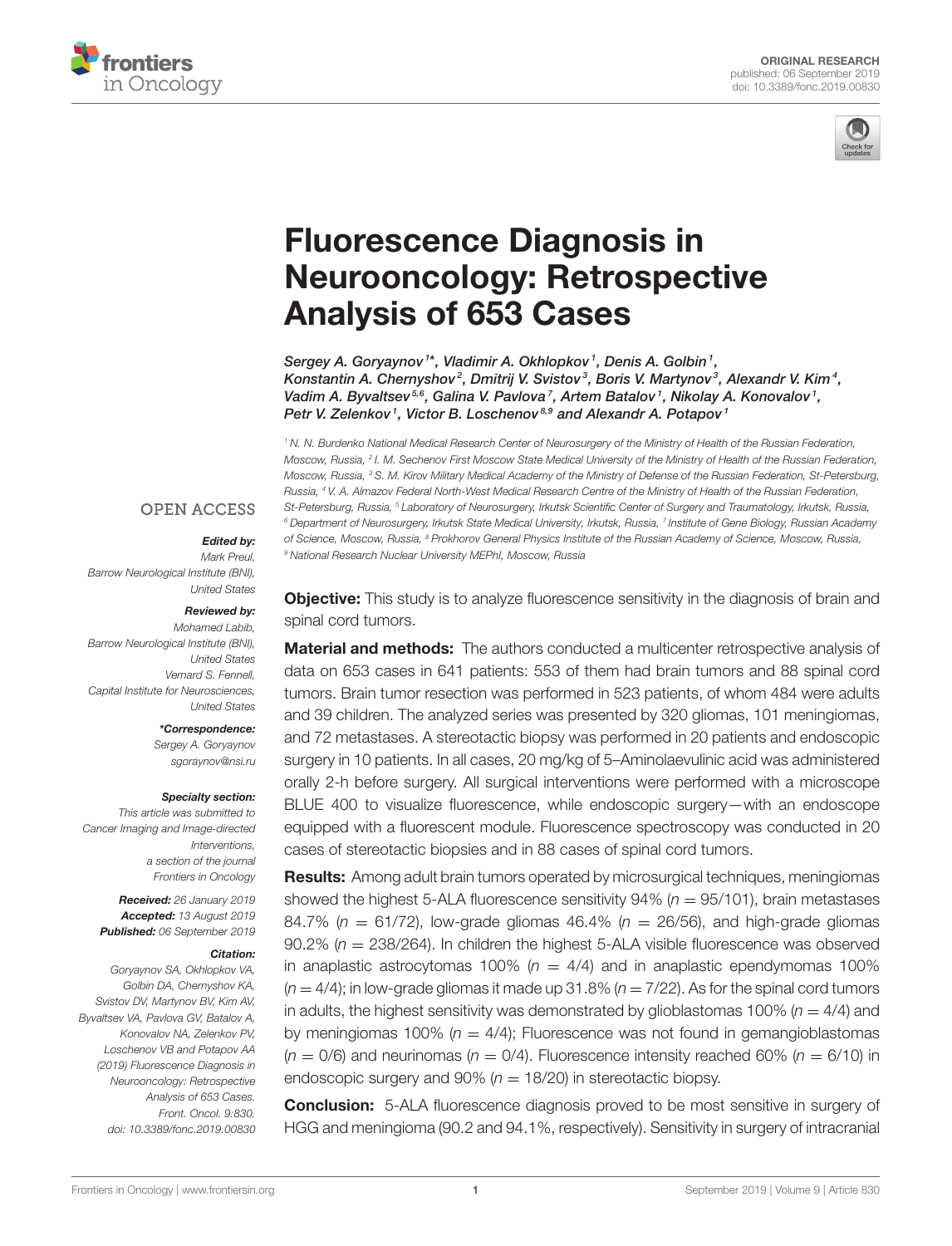



# Fluorescence Diagnosis in [Neurooncology: Retrospective](https://www.frontiersin.org/articles/10.3389/fonc.2019.00830/full) Analysis of 653 Cases

Sergey A. Goryaynov<sup>1\*</sup>, Vladimir A. Okhlopkov<sup>1</sup>, Denis A. Golbin<sup>1</sup>, [Konstantin A. Chernyshov](http://loop.frontiersin.org/people/669730/overview)<sup>2</sup>, [Dmitrij V. Svistov](http://loop.frontiersin.org/people/703596/overview)<sup>3</sup>, Boris V. Martynov<sup>3</sup>, [Alexandr V. Kim](http://loop.frontiersin.org/people/703341/overview)<sup>4</sup>, Vadim A. Byvaltsev $^{5,6}$ , [Galina V. Pavlova](http://loop.frontiersin.org/people/681913/overview)<sup>7</sup>, Artem Batalov<sup>1</sup>, [Nikolay A. Konovalov](http://loop.frontiersin.org/people/472268/overview)<sup>1</sup>, Petr V. Zelenkov<sup>1</sup>, Victor B. Loschenov<sup>8,9</sup> and Alexandr A. Potapov<sup>1</sup>

*<sup>1</sup> N. N. Burdenko National Medical Research Center of Neurosurgery of the Ministry of Health of the Russian Federation, Moscow, Russia, <sup>2</sup> I. M. Sechenov First Moscow State Medical University of the Ministry of Health of the Russian Federation, Moscow, Russia, <sup>3</sup> S. M. Kirov Military Medical Academy of the Ministry of Defense of the Russian Federation, St-Petersburg, Russia, <sup>4</sup> V. A. Almazov Federal North-West Medical Research Centre of the Ministry of Health of the Russian Federation, St-Petersburg, Russia, <sup>5</sup> Laboratory of Neurosurgery, Irkutsk Scientific Center of Surgery and Traumatology, Irkutsk, Russia, <sup>6</sup> Department of Neurosurgery, Irkutsk State Medical University, Irkutsk, Russia, <sup>7</sup> Institute of Gene Biology, Russian Academy of Science, Moscow, Russia, <sup>8</sup> Prokhorov General Physics Institute of the Russian Academy of Science, Moscow, Russia, <sup>9</sup> National Research Nuclear University MEPhI, Moscow, Russia*

### **OPEN ACCESS**

#### Edited by:

*Mark Preul, Barrow Neurological Institute (BNI), United States*

#### Reviewed by:

*Mohamed Labib, Barrow Neurological Institute (BNI), United States Vernard S. Fennell, Capital Institute for Neurosciences, United States*

> \*Correspondence: *Sergey A. Goryaynov*

*[sgoraynov@nsi.ru](mailto:sgoraynov@nsi.ru)*

#### Specialty section:

*This article was submitted to Cancer Imaging and Image-directed Interventions, a section of the journal Frontiers in Oncology*

Received: *26 January 2019* Accepted: *13 August 2019* Published: *06 September 2019*

#### Citation:

*Goryaynov SA, Okhlopkov VA, Golbin DA, Chernyshov KA, Svistov DV, Martynov BV, Kim AV, Byvaltsev VA, Pavlova GV, Batalov A, Konovalov NA, Zelenkov PV, Loschenov VB and Potapov AA (2019) Fluorescence Diagnosis in Neurooncology: Retrospective Analysis of 653 Cases. Front. Oncol. 9:830. doi: [10.3389/fonc.2019.00830](https://doi.org/10.3389/fonc.2019.00830)* **Objective:** This study is to analyze fluorescence sensitivity in the diagnosis of brain and spinal cord tumors.

**Material and methods:** The authors conducted a multicenter retrospective analysis of data on 653 cases in 641 patients: 553 of them had brain tumors and 88 spinal cord tumors. Brain tumor resection was performed in 523 patients, of whom 484 were adults and 39 children. The analyzed series was presented by 320 gliomas, 101 meningiomas, and 72 metastases. A stereotactic biopsy was performed in 20 patients and endoscopic surgery in 10 patients. In all cases, 20 mg/kg of 5–Aminolaevulinic acid was administered orally 2-h before surgery. All surgical interventions were performed with a microscope BLUE 400 to visualize fluorescence, while endoscopic surgery—with an endoscope equipped with a fluorescent module. Fluorescence spectroscopy was conducted in 20 cases of stereotactic biopsies and in 88 cases of spinal cord tumors.

Results: Among adult brain tumors operated by microsurgical techniques, meningiomas showed the highest 5-ALA fluorescence sensitivity  $94\%$  ( $n = 95/101$ ), brain metastases 84.7% ( $n = 61/72$ ), low-grade gliomas 46.4% ( $n = 26/56$ ), and high-grade gliomas 90.2% (*n* = 238/264). In children the highest 5-ALA visible fluorescence was observed in anaplastic astrocytomas 100%  $(n = 4/4)$  and in anaplastic ependymomas 100%  $(n = 4/4)$ ; in low-grade gliomas it made up 31.8%  $(n = 7/22)$ . As for the spinal cord tumors in adults, the highest sensitivity was demonstrated by glioblastomas 100% ( $n = 4/4$ ) and by meningiomas 100% ( $n = 4/4$ ); Fluorescence was not found in gemangioblastomas  $(n = 0/6)$  and neurinomas  $(n = 0/4)$ . Fluorescence intensity reached 60%  $(n = 6/10)$  in endoscopic surgery and  $90\%$  ( $n = 18/20$ ) in stereotactic biopsy.

**Conclusion:** 5-ALA fluorescence diagnosis proved to be most sensitive in surgery of HGG and meningioma (90.2 and 94.1%, respectively). Sensitivity in surgery of intracranial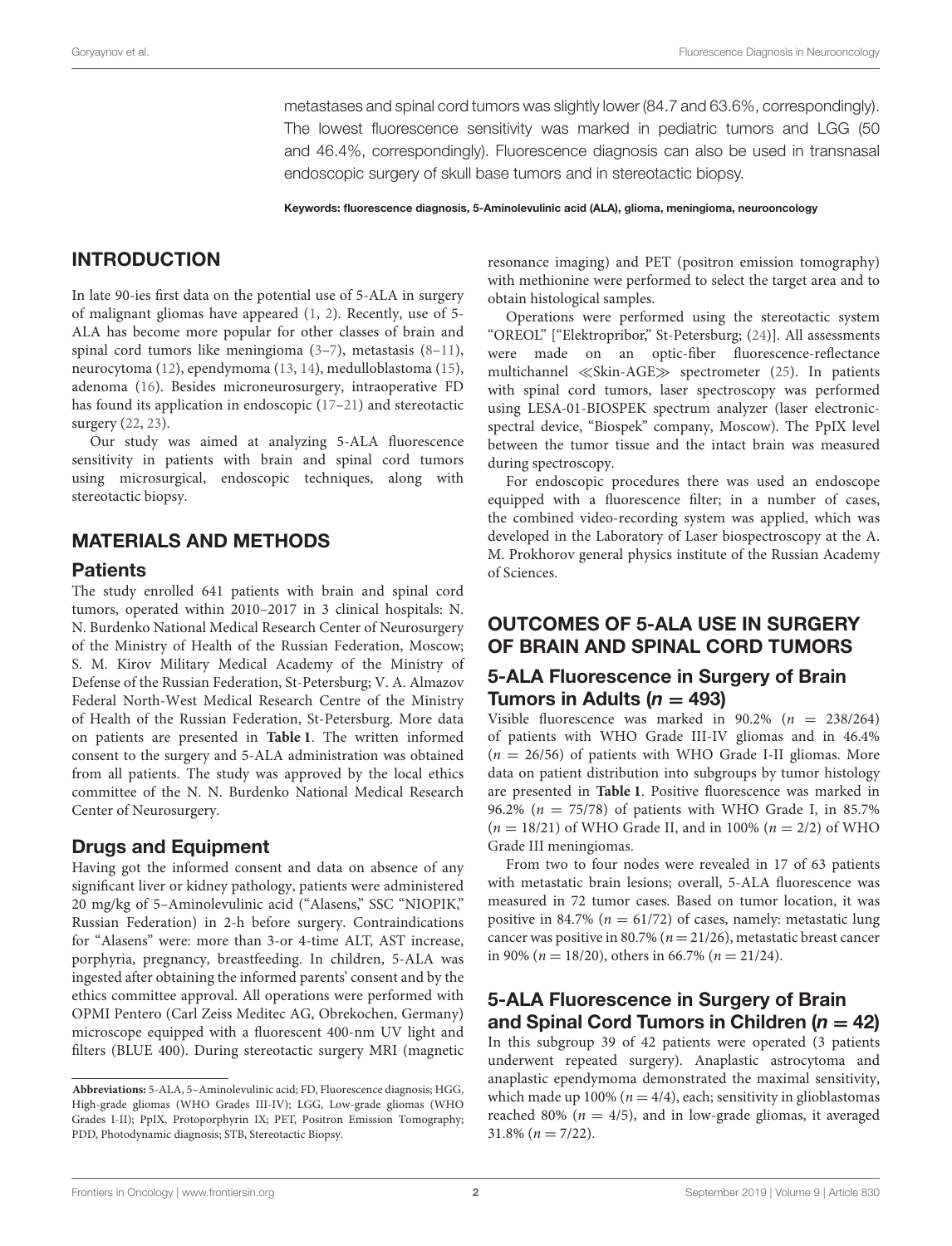metastases and spinal cord tumors was slightly lower (84.7 and 63.6%, correspondingly). The lowest fluorescence sensitivity was marked in pediatric tumors and LGG (50 and 46.4%, correspondingly). Fluorescence diagnosis can also be used in transnasal endoscopic surgery of skull base tumors and in stereotactic biopsy.

Keywords: fluorescence diagnosis, 5-Aminolevulinic acid (ALA), glioma, meningioma, neurooncology

# INTRODUCTION

In late 90-ies first data on the potential use of 5-ALA in surgery of malignant gliomas have appeared [\(1,](#page-6-0) [2\)](#page-6-1). Recently, use of 5- ALA has become more popular for other classes of brain and spinal cord tumors like meningioma [\(3](#page-6-2)[–7\)](#page-7-0), metastasis [\(8–](#page-7-1)[11\)](#page-7-2), neurocytoma [\(12\)](#page-7-3), ependymoma [\(13,](#page-7-4) [14\)](#page-7-5), medulloblastoma [\(15\)](#page-7-6), adenoma [\(16\)](#page-7-7). Besides microneurosurgery, intraoperative FD has found its application in endoscopic [\(17](#page-7-8)[–21\)](#page-7-9) and stereotactic surgery [\(22,](#page-7-10) [23\)](#page-7-11).

Our study was aimed at analyzing 5-ALA fluorescence sensitivity in patients with brain and spinal cord tumors using microsurgical, endoscopic techniques, along with stereotactic biopsy.

# MATERIALS AND METHODS

#### **Patients**

The study enrolled 641 patients with brain and spinal cord tumors, operated within 2010–2017 in 3 clinical hospitals: N. N. Burdenko National Medical Research Center of Neurosurgery of the Ministry of Health of the Russian Federation, Moscow; S. M. Kirov Military Medical Academy of the Ministry of Defense of the Russian Federation, St-Petersburg; V. A. Almazov Federal North-West Medical Research Centre of the Ministry of Health of the Russian Federation, St-Petersburg. More data on patients are presented in **[Table 1](#page-3-0)**. The written informed consent to the surgery and 5-ALA administration was obtained from all patients. The study was approved by the local ethics committee of the N. N. Burdenko National Medical Research Center of Neurosurgery.

# Drugs and Equipment

Having got the informed consent and data on absence of any significant liver or kidney pathology, patients were administered 20 mg/kg of 5–Aminolevulinic acid ("Alasens," SSC "NIOPIK," Russian Federation) in 2-h before surgery. Contraindications for "Alasens" were: more than 3-or 4-time ALT, AST increase, porphyria, pregnancy, breastfeeding. In children, 5-ALA was ingested after obtaining the informed parents' consent and by the ethics committee approval. All operations were performed with OPMI Pentero (Carl Zeiss Meditec AG, Obrekochen, Germany) microscope equipped with a fluorescent 400-nm UV light and filters (BLUE 400). During stereotactic surgery MRI (magnetic resonance imaging) and PET (positron emission tomography) with methionine were performed to select the target area and to obtain histological samples.

Operations were performed using the stereotactic system "OREOL" ["Elektropribor," St-Petersburg; [\(24\)](#page-7-12)]. All assessments were made on an optic-fiber fluorescence-reflectance multichannel ≪Skin-AGE≫ spectrometer [\(25\)](#page-7-13). In patients with spinal cord tumors, laser spectroscopy was performed using LESA-01-BIOSPEK spectrum analyzer (laser electronicspectral device, "Biospek" company, Moscow). The PpIX level between the tumor tissue and the intact brain was measured during spectroscopy.

For endoscopic procedures there was used an endoscope equipped with a fluorescence filter; in a number of cases, the combined video-recording system was applied, which was developed in the Laboratory of Laser biospectroscopy at the A. M. Prokhorov general physics institute of the Russian Academy of Sciences.

# OUTCOMES OF 5-ALA USE IN SURGERY OF BRAIN AND SPINAL CORD TUMORS

# 5-ALA Fluorescence in Surgery of Brain Tumors in Adults ( $n = 493$ )

Visible fluorescence was marked in  $90.2\%$  ( $n = 238/264$ ) of patients with WHO Grade III-IV gliomas and in 46.4%  $(n = 26/56)$  of patients with WHO Grade I-II gliomas. More data on patient distribution into subgroups by tumor histology are presented in **[Table 1](#page-3-0)**. Positive fluorescence was marked in 96.2% ( $n = 75/78$ ) of patients with WHO Grade I, in 85.7%  $(n = 18/21)$  of WHO Grade II, and in 100%  $(n = 2/2)$  of WHO Grade III meningiomas.

From two to four nodes were revealed in 17 of 63 patients with metastatic brain lesions; overall, 5-ALA fluorescence was measured in 72 tumor cases. Based on tumor location, it was positive in 84.7% ( $n = 61/72$ ) of cases, namely: metastatic lung cancer was positive in 80.7% ( $n = 21/26$ ), metastatic breast cancer in 90% ( $n = 18/20$ ), others in 66.7% ( $n = 21/24$ ).

# 5-ALA Fluorescence in Surgery of Brain and Spinal Cord Tumors in Children ( $n = 42$ )

In this subgroup 39 of 42 patients were operated (3 patients underwent repeated surgery). Anaplastic astrocytoma and anaplastic ependymoma demonstrated the maximal sensitivity, which made up 100% ( $n = 4/4$ ), each; sensitivity in glioblastomas reached 80% ( $n = 4/5$ ), and in low-grade gliomas, it averaged  $31.8\%$  ( $n = 7/22$ ).

**Abbreviations:** 5-ALA, 5–Aminolevulinic acid; FD, Fluorescence diagnosis; HGG, High-grade gliomas (WHO Grades III-IV); LGG, Low-grade gliomas (WHO Grades I-II); PpIX, Protoporphyrin IX; PET, Positron Emission Tomography; PDD, Photodynamic diagnosis; STB, Stereotactic Biopsy.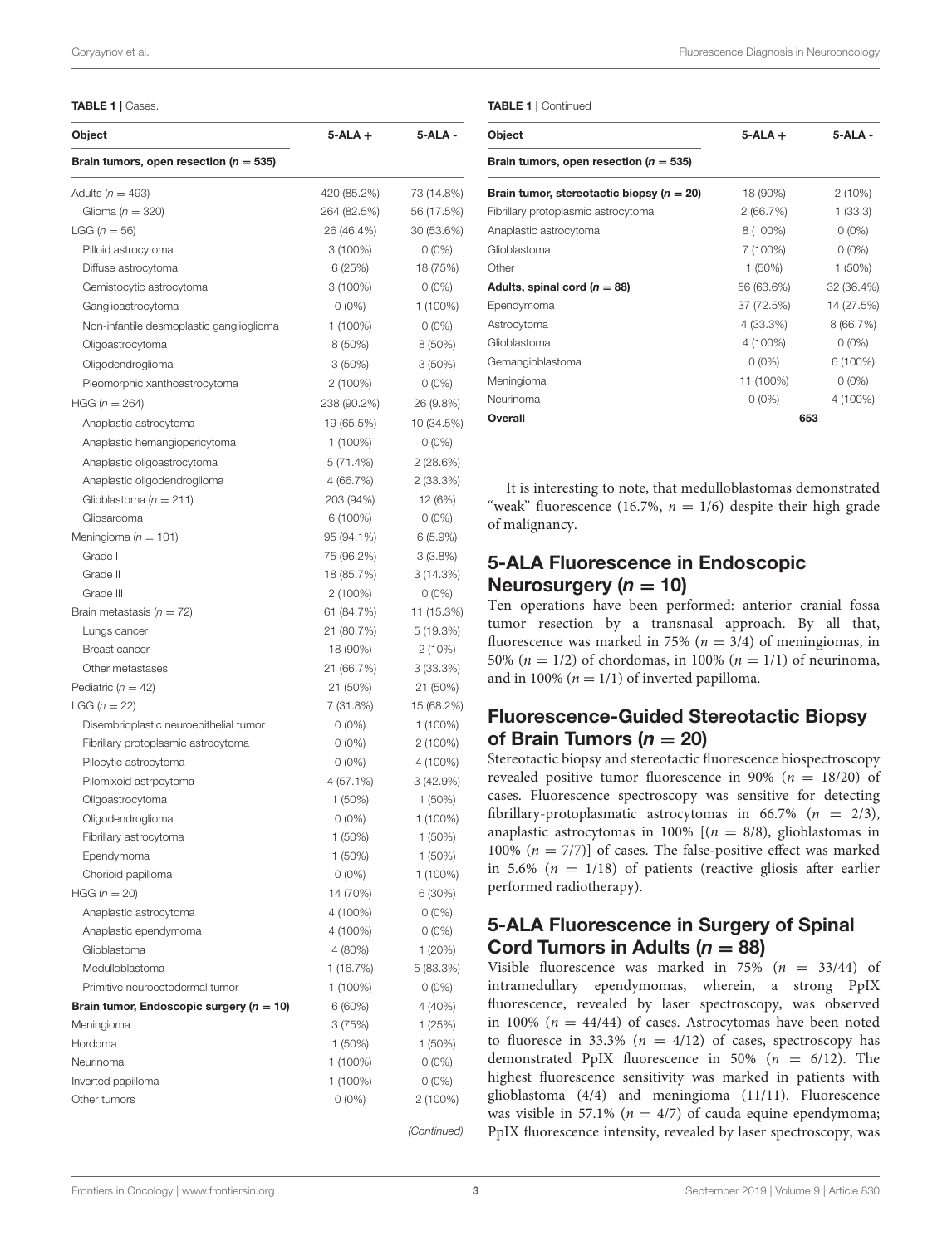<span id="page-3-0"></span>TABLE 1 | Cases.

| Object<br>Brain tumors, open resection ( $n = 535$ ) | $5$ -ALA $+$ | 5-ALA -     |
|------------------------------------------------------|--------------|-------------|
|                                                      |              |             |
| Glioma ( $n = 320$ )                                 | 264 (82.5%)  | 56 (17.5%)  |
| LGG ( $n = 56$ )                                     | 26 (46.4%)   | 30 (53.6%)  |
| Pilloid astrocytoma                                  | 3 (100%)     | $0(0\%)$    |
| Diffuse astrocytoma                                  | 6 (25%)      | 18 (75%)    |
| Gemistocytic astrocytoma                             | $3(100\%)$   | $0(0\%)$    |
| Ganglioastrocytoma                                   | $0(0\%)$     | $1(100\%)$  |
| Non-infantile desmoplastic ganglioglioma             | 1 (100%)     | $0(0\%)$    |
| Oligoastrocytoma                                     | 8 (50%)      | 8 (50%)     |
| Oligodendroglioma                                    | $3(50\%)$    | $3(50\%)$   |
| Pleomorphic xanthoastrocytoma                        | $2(100\%)$   | $0(0\%)$    |
| HGG ( $n = 264$ )                                    | 238 (90.2%)  | 26 (9.8%)   |
|                                                      |              |             |
| Anaplastic astrocytoma                               | 19 (65.5%)   | 10 (34.5%)  |
| Anaplastic hemangiopericytoma                        | $1(100\%)$   | $0(0\%)$    |
| Anaplastic oligoastrocytoma                          | 5(71.4%)     | 2(28.6%)    |
| Anaplastic oligodendroglioma                         | 4 (66.7%)    | $2(33.3\%)$ |
| Glioblastoma ( $n = 211$ )                           | 203 (94%)    | 12 (6%)     |
| Gliosarcoma                                          | 6 (100%)     | $0(0\%)$    |
| Meningioma ( $n = 101$ )                             | 95 (94.1%)   | 6(5.9%)     |
| Grade I                                              | 75 (96.2%)   | 3(3.8%)     |
| Grade II                                             | 18 (85.7%)   | 3(14.3%)    |
| Grade III                                            | 2 (100%)     | $0(0\%)$    |
| Brain metastasis ( $n = 72$ )                        | 61 (84.7%)   | 11 (15.3%)  |
| Lungs cancer                                         | 21 (80.7%)   | 5 (19.3%)   |
| <b>Breast cancer</b>                                 | 18 (90%)     | $2(10\%)$   |
| Other metastases                                     | 21 (66.7%)   | $3(33.3\%)$ |
| Pediatric ( $n = 42$ )                               | 21 (50%)     | 21 (50%)    |
| LGG ( $n = 22$ )                                     | 7 (31.8%)    | 15 (68.2%)  |
| Disembrioplastic neuroepithelial tumor               | $0(0\%)$     | 1 (100%)    |
| Fibrillary protoplasmic astrocytoma                  | 0 (0%)       | $2(100\%)$  |
| Pilocytic astrocytoma                                | $0(0\%)$     | 4 (100%)    |
| Pilomixoid astrpcytoma                               | 4 (57.1%)    | 3(42.9%)    |
| Oligoastrocytoma                                     | 1 (50%)      | $1(50\%)$   |
| Oligodendroglioma                                    | $0(0\%)$     | 1 (100%)    |
| Fibrillary astrocytoma                               | 1 (50%)      | 1 (50%)     |
| Ependymoma                                           | $1(50\%)$    | 1 (50%)     |
| Chorioid papilloma                                   | $0(0\%)$     | 1 (100%)    |
| $HGG (n = 20)$                                       | 14 (70%)     | $6(30\%)$   |
| Anaplastic astrocytoma                               | 4 (100%)     | $0(0\%)$    |
| Anaplastic ependymoma                                | 4 (100%)     | $0(0\%)$    |
| Glioblastoma                                         | 4 (80%)      | 1(20%)      |
| Medulloblastoma                                      | 1 (16.7%)    | 5 (83.3%)   |
| Primitive neuroectodermal tumor                      | 1 (100%)     | $0(0\%)$    |
| Brain tumor, Endoscopic surgery ( $n = 10$ )         | 6 (60%)      | 4 (40%)     |
| Meningioma                                           | 3(75%)       | 1 (25%)     |
| Hordoma                                              | 1 (50%)      | $1(50\%)$   |
| Neurinoma                                            | 1 (100%)     | $0(0\%)$    |
| Inverted papilloma                                   | 1 (100%)     | $0(0\%)$    |
|                                                      |              | 2 (100%)    |
| Other tumors                                         | $0(0\%)$     |             |

| Object                                        | $5-ALA +$  | $5-ALA -$  |
|-----------------------------------------------|------------|------------|
| Brain tumors, open resection ( $n = 535$ )    |            |            |
| Brain tumor, stereotactic biopsy ( $n = 20$ ) | 18 (90%)   | $2(10\%)$  |
| Fibrillary protoplasmic astrocytoma           | 2(66.7%)   | 1(33.3)    |
| Anaplastic astrocytoma                        | 8 (100%)   | $0(0\%)$   |
| Glioblastoma                                  | 7 (100%)   | $0(0\%)$   |
| Other                                         | $1(50\%)$  | $1(50\%)$  |
| Adults, spinal cord ( $n = 88$ )              | 56 (63.6%) | 32 (36.4%) |
| Ependymoma                                    | 37 (72.5%) | 14 (27.5%) |
| Astrocytoma                                   | 4 (33.3%)  | 8(66.7%)   |
| Glioblastoma                                  | 4 (100%)   | $0(0\%)$   |
| Gemangioblastoma                              | $0(0\%)$   | $6(100\%)$ |
| Meningioma                                    | 11 (100%)  | $0(0\%)$   |
| Neurinoma                                     | $0(0\%)$   | 4 (100%)   |
| Overall                                       | 653        |            |

It is interesting to note, that medulloblastomas demonstrated "weak" fluorescence (16.7%,  $n = 1/6$ ) despite their high grade of malignancy.

# 5-ALA Fluorescence in Endoscopic Neurosurgery ( $n = 10$ )

Ten operations have been performed: anterior cranial fossa tumor resection by a transnasal approach. By all that, fluorescence was marked in 75% ( $n = 3/4$ ) of meningiomas, in 50% ( $n = 1/2$ ) of chordomas, in 100% ( $n = 1/1$ ) of neurinoma, and in 100% ( $n = 1/1$ ) of inverted papilloma.

# Fluorescence-Guided Stereotactic Biopsy of Brain Tumors ( $n = 20$ )

Stereotactic biopsy and stereotactic fluorescence biospectroscopy revealed positive tumor fluorescence in 90% ( $n = 18/20$ ) of cases. Fluorescence spectroscopy was sensitive for detecting fibrillary-protoplasmatic astrocytomas in 66.7% ( $n = 2/3$ ), anaplastic astrocytomas in 100%  $[(n = 8/8),$  glioblastomas in 100%  $(n = 7/7)$ ] of cases. The false-positive effect was marked in 5.6% ( $n = 1/18$ ) of patients (reactive gliosis after earlier performed radiotherapy).

# 5-ALA Fluorescence in Surgery of Spinal Cord Tumors in Adults  $(n = 88)$

Visible fluorescence was marked in 75% ( $n = 33/44$ ) of intramedullary ependymomas, wherein, a strong PpIX fluorescence, revealed by laser spectroscopy, was observed in 100% ( $n = 44/44$ ) of cases. Astrocytomas have been noted to fluoresce in 33.3% ( $n = 4/12$ ) of cases, spectroscopy has demonstrated PpIX fluorescence in 50% ( $n = 6/12$ ). The highest fluorescence sensitivity was marked in patients with glioblastoma (4/4) and meningioma (11/11). Fluorescence was visible in 57.1% ( $n = 4/7$ ) of cauda equine ependymoma; PpIX fluorescence intensity, revealed by laser spectroscopy, was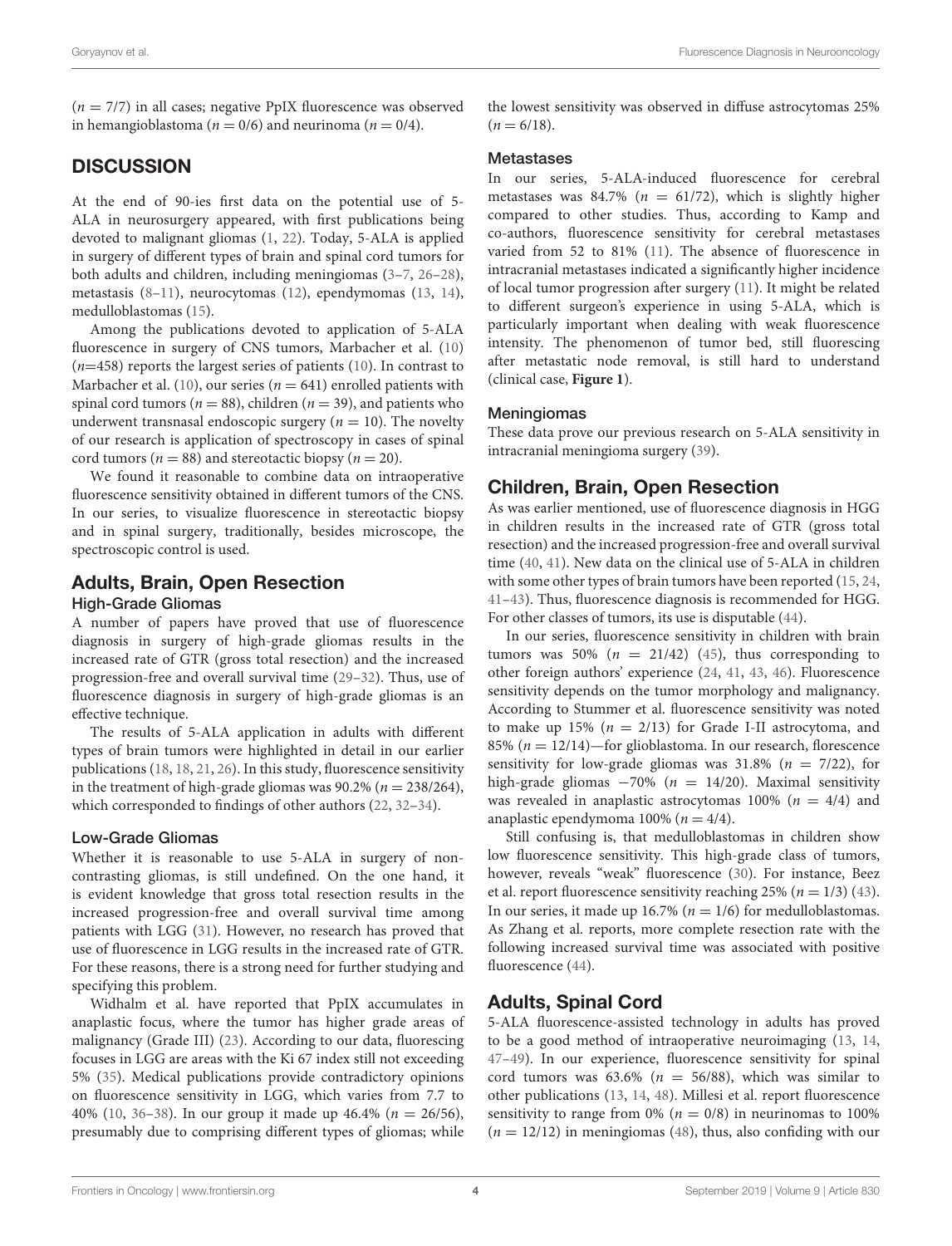$(n = 7/7)$  in all cases; negative PpIX fluorescence was observed in hemangioblastoma ( $n = 0/6$ ) and neurinoma ( $n = 0/4$ ).

# **DISCUSSION**

At the end of 90-ies first data on the potential use of 5- ALA in neurosurgery appeared, with first publications being devoted to malignant gliomas [\(1,](#page-6-0) [22\)](#page-7-10). Today, 5-ALA is applied in surgery of different types of brain and spinal cord tumors for both adults and children, including meningiomas [\(3](#page-6-2)[–7,](#page-7-0) [26–](#page-7-14)[28\)](#page-7-15), metastasis [\(8](#page-7-1)[–11\)](#page-7-2), neurocytomas [\(12\)](#page-7-3), ependymomas [\(13,](#page-7-4) [14\)](#page-7-5), medulloblastomas [\(15\)](#page-7-6).

Among the publications devoted to application of 5-ALA fluorescence in surgery of CNS tumors, Marbacher et al. [\(10\)](#page-7-16)  $(n=458)$  reports the largest series of patients [\(10\)](#page-7-16). In contrast to Marbacher et al. [\(10\)](#page-7-16), our series ( $n = 641$ ) enrolled patients with spinal cord tumors ( $n = 88$ ), children ( $n = 39$ ), and patients who underwent transnasal endoscopic surgery ( $n = 10$ ). The novelty of our research is application of spectroscopy in cases of spinal cord tumors ( $n = 88$ ) and stereotactic biopsy ( $n = 20$ ).

We found it reasonable to combine data on intraoperative fluorescence sensitivity obtained in different tumors of the CNS. In our series, to visualize fluorescence in stereotactic biopsy and in spinal surgery, traditionally, besides microscope, the spectroscopic control is used.

# Adults, Brain, Open Resection

### High-Grade Gliomas

A number of papers have proved that use of fluorescence diagnosis in surgery of high-grade gliomas results in the increased rate of GTR (gross total resection) and the increased progression-free and overall survival time [\(29–](#page-7-17)[32\)](#page-7-18). Thus, use of fluorescence diagnosis in surgery of high-grade gliomas is an effective technique.

The results of 5-ALA application in adults with different types of brain tumors were highlighted in detail in our earlier publications [\(18,](#page-7-19) [18,](#page-7-19) [21,](#page-7-9) [26\)](#page-7-14). In this study, fluorescence sensitivity in the treatment of high-grade gliomas was  $90.2\%$  ( $n = 238/264$ ), which corresponded to findings of other authors [\(22,](#page-7-10) [32](#page-7-18)[–34\)](#page-7-20).

#### Low-Grade Gliomas

Whether it is reasonable to use 5-ALA in surgery of noncontrasting gliomas, is still undefined. On the one hand, it is evident knowledge that gross total resection results in the increased progression-free and overall survival time among patients with LGG [\(31\)](#page-7-21). However, no research has proved that use of fluorescence in LGG results in the increased rate of GTR. For these reasons, there is a strong need for further studying and specifying this problem.

Widhalm et al. have reported that PpIX accumulates in anaplastic focus, where the tumor has higher grade areas of malignancy (Grade III) [\(23\)](#page-7-11). According to our data, fluorescing focuses in LGG are areas with the Ki 67 index still not exceeding 5% [\(35\)](#page-7-22). Medical publications provide contradictory opinions on fluorescence sensitivity in LGG, which varies from 7.7 to 40% [\(10,](#page-7-16) [36](#page-7-23)-38). In our group it made up 46.4% ( $n = 26/56$ ), presumably due to comprising different types of gliomas; while the lowest sensitivity was observed in diffuse astrocytomas 25%  $(n = 6/18)$ .

#### **Metastases**

In our series, 5-ALA-induced fluorescence for cerebral metastases was 84.7% ( $n = 61/72$ ), which is slightly higher compared to other studies. Thus, according to Kamp and co-authors, fluorescence sensitivity for cerebral metastases varied from 52 to 81% [\(11\)](#page-7-2). The absence of fluorescence in intracranial metastases indicated a significantly higher incidence of local tumor progression after surgery [\(11\)](#page-7-2). It might be related to different surgeon's experience in using 5-ALA, which is particularly important when dealing with weak fluorescence intensity. The phenomenon of tumor bed, still fluorescing after metastatic node removal, is still hard to understand (clinical case, **[Figure 1](#page-5-0)**).

#### Meningiomas

These data prove our previous research on 5-ALA sensitivity in intracranial meningioma surgery [\(39\)](#page-7-25).

# Children, Brain, Open Resection

As was earlier mentioned, use of fluorescence diagnosis in HGG in children results in the increased rate of GTR (gross total resection) and the increased progression-free and overall survival time [\(40,](#page-8-0) [41\)](#page-8-1). New data on the clinical use of 5-ALA in children with some other types of brain tumors have been reported [\(15,](#page-7-6) [24,](#page-7-12) [41](#page-8-1)[–43\)](#page-8-2). Thus, fluorescence diagnosis is recommended for HGG. For other classes of tumors, its use is disputable [\(44\)](#page-8-3).

In our series, fluorescence sensitivity in children with brain tumors was 50% ( $n = 21/42$ ) [\(45\)](#page-8-4), thus corresponding to other foreign authors' experience [\(24,](#page-7-12) [41,](#page-8-1) [43,](#page-8-2) [46\)](#page-8-5). Fluorescence sensitivity depends on the tumor morphology and malignancy. According to Stummer et al. fluorescence sensitivity was noted to make up 15% ( $n = 2/13$ ) for Grade I-II astrocytoma, and 85% ( $n = 12/14$ )—for glioblastoma. In our research, florescence sensitivity for low-grade gliomas was 31.8% ( $n = 7/22$ ), for high-grade gliomas  $-70\%$  ( $n = 14/20$ ). Maximal sensitivity was revealed in anaplastic astrocytomas 100% ( $n = 4/4$ ) and anaplastic ependymoma 100% ( $n = 4/4$ ).

Still confusing is, that medulloblastomas in children show low fluorescence sensitivity. This high-grade class of tumors, however, reveals "weak" fluorescence [\(30\)](#page-7-26). For instance, Beez et al. report fluorescence sensitivity reaching 25% ( $n = 1/3$ ) [\(43\)](#page-8-2). In our series, it made up 16.7% ( $n = 1/6$ ) for medulloblastomas. As Zhang et al. reports, more complete resection rate with the following increased survival time was associated with positive fluorescence [\(44\)](#page-8-3).

# Adults, Spinal Cord

5-ALA fluorescence-assisted technology in adults has proved to be a good method of intraoperative neuroimaging [\(13,](#page-7-4) [14,](#page-7-5) [47](#page-8-6)[–49\)](#page-8-7). In our experience, fluorescence sensitivity for spinal cord tumors was  $63.6\%$  ( $n = 56/88$ ), which was similar to other publications [\(13,](#page-7-4) [14,](#page-7-5) [48\)](#page-8-8). Millesi et al. report fluorescence sensitivity to range from 0% ( $n = 0/8$ ) in neurinomas to 100%  $(n = 12/12)$  in meningiomas [\(48\)](#page-8-8), thus, also confiding with our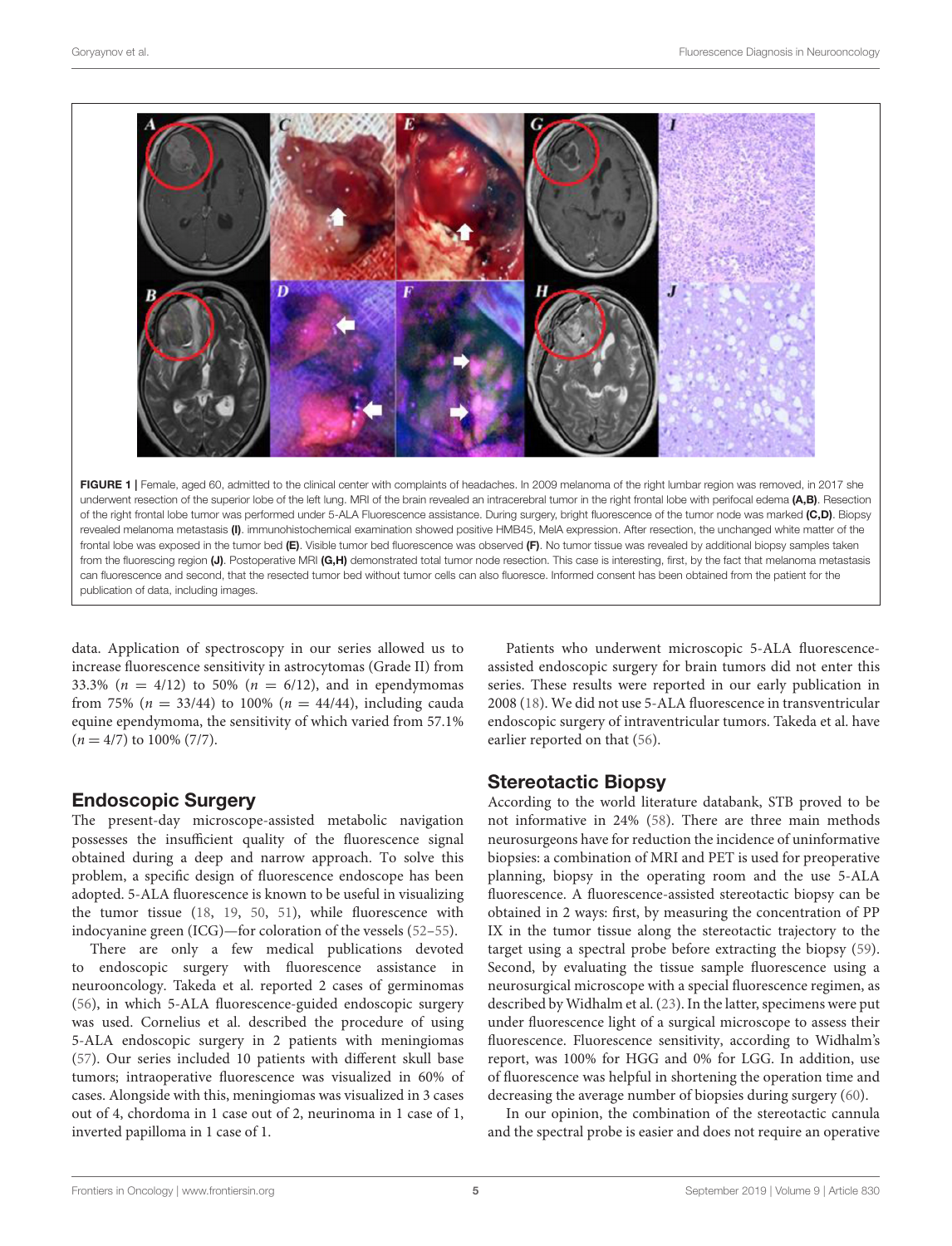

<span id="page-5-0"></span>FIGURE 1 | Female, aged 60, admitted to the clinical center with complaints of headaches. In 2009 melanoma of the right lumbar region was removed, in 2017 she underwent resection of the superior lobe of the left lung. MRI of the brain revealed an intracerebral tumor in the right frontal lobe with perifocal edema (A,B). Resection of the right frontal lobe tumor was performed under 5-ALA Fluorescence assistance. During surgery, bright fluorescence of the tumor node was marked (C,D). Biopsy revealed melanoma metastasis (I). immunohistochemical examination showed positive HMB45, MelA expression. After resection, the unchanged white matter of the frontal lobe was exposed in the tumor bed (E). Visible tumor bed fluorescence was observed (F). No tumor tissue was revealed by additional biopsy samples taken from the fluorescing region (J). Postoperative MRI (G,H) demonstrated total tumor node resection. This case is interesting, first, by the fact that melanoma metastasis can fluorescence and second, that the resected tumor bed without tumor cells can also fluoresce. Informed consent has been obtained from the patient for the publication of data, including images.

data. Application of spectroscopy in our series allowed us to increase fluorescence sensitivity in astrocytomas (Grade II) from 33.3% ( $n = 4/12$ ) to 50% ( $n = 6/12$ ), and in ependymomas from 75% ( $n = 33/44$ ) to 100% ( $n = 44/44$ ), including cauda equine ependymoma, the sensitivity of which varied from 57.1%  $(n = 4/7)$  to 100% (7/7).

# Endoscopic Surgery

The present-day microscope-assisted metabolic navigation possesses the insufficient quality of the fluorescence signal obtained during a deep and narrow approach. To solve this problem, a specific design of fluorescence endoscope has been adopted. 5-ALA fluorescence is known to be useful in visualizing the tumor tissue [\(18,](#page-7-19) [19,](#page-7-27) [50,](#page-8-9) [51\)](#page-8-10), while fluorescence with indocyanine green (ICG)—for coloration of the vessels [\(52–](#page-8-11)[55\)](#page-8-12).

There are only a few medical publications devoted to endoscopic surgery with fluorescence assistance in neurooncology. Takeda et al. reported 2 cases of germinomas [\(56\)](#page-8-13), in which 5-ALA fluorescence-guided endoscopic surgery was used. Cornelius et al. described the procedure of using 5-ALA endoscopic surgery in 2 patients with meningiomas [\(57\)](#page-8-14). Our series included 10 patients with different skull base tumors; intraoperative fluorescence was visualized in 60% of cases. Alongside with this, meningiomas was visualized in 3 cases out of 4, chordoma in 1 case out of 2, neurinoma in 1 case of 1, inverted papilloma in 1 case of 1.

Patients who underwent microscopic 5-ALA fluorescenceassisted endoscopic surgery for brain tumors did not enter this series. These results were reported in our early publication in 2008 [\(18\)](#page-7-19). We did not use 5-ALA fluorescence in transventricular endoscopic surgery of intraventricular tumors. Takeda et al. have earlier reported on that [\(56\)](#page-8-13).

### Stereotactic Biopsy

According to the world literature databank, STB proved to be not informative in 24% [\(58\)](#page-8-15). There are three main methods neurosurgeons have for reduction the incidence of uninformative biopsies: a combination of MRI and PET is used for preoperative planning, biopsy in the operating room and the use 5-ALA fluorescence. A fluorescence-assisted stereotactic biopsy can be obtained in 2 ways: first, by measuring the concentration of PP IX in the tumor tissue along the stereotactic trajectory to the target using a spectral probe before extracting the biopsy [\(59\)](#page-8-16). Second, by evaluating the tissue sample fluorescence using a neurosurgical microscope with a special fluorescence regimen, as described by Widhalm et al. [\(23\)](#page-7-11). In the latter, specimens were put under fluorescence light of a surgical microscope to assess their fluorescence. Fluorescence sensitivity, according to Widhalm's report, was 100% for HGG and 0% for LGG. In addition, use of fluorescence was helpful in shortening the operation time and decreasing the average number of biopsies during surgery [\(60\)](#page-8-17).

In our opinion, the combination of the stereotactic cannula and the spectral probe is easier and does not require an operative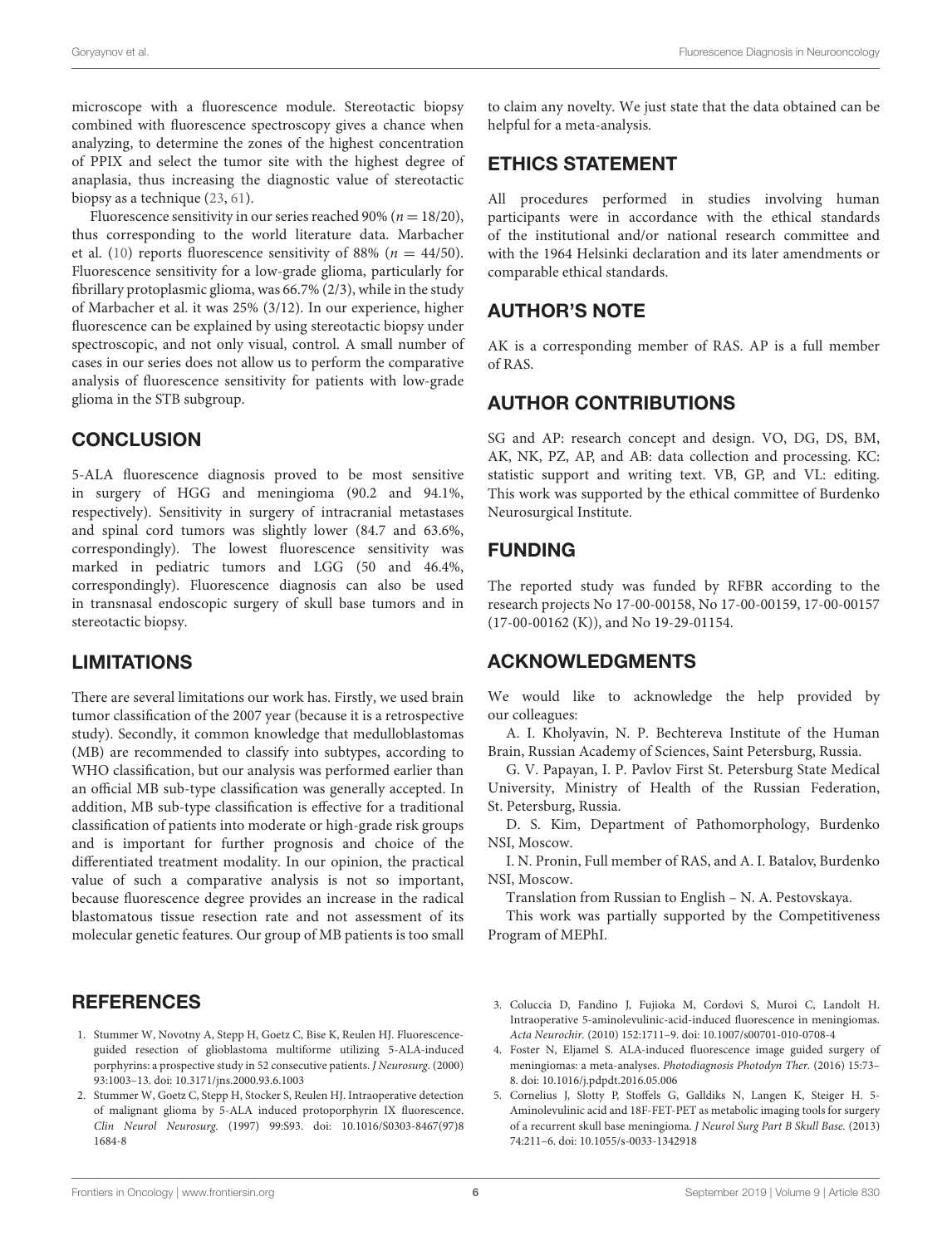microscope with a fluorescence module. Stereotactic biopsy combined with fluorescence spectroscopy gives a chance when analyzing, to determine the zones of the highest concentration of PPIX and select the tumor site with the highest degree of anaplasia, thus increasing the diagnostic value of stereotactic biopsy as a technique [\(23,](#page-7-11) [61\)](#page-8-18).

Fluorescence sensitivity in our series reached 90% ( $n = 18/20$ ), thus corresponding to the world literature data. Marbacher et al. [\(10\)](#page-7-16) reports fluorescence sensitivity of 88% ( $n = 44/50$ ). Fluorescence sensitivity for a low-grade glioma, particularly for fibrillary protoplasmic glioma, was 66.7% (2/3), while in the study of Marbacher et al. it was 25% (3/12). In our experience, higher fluorescence can be explained by using stereotactic biopsy under spectroscopic, and not only visual, control. A small number of cases in our series does not allow us to perform the comparative analysis of fluorescence sensitivity for patients with low-grade glioma in the STB subgroup.

# **CONCLUSION**

5-ALA fluorescence diagnosis proved to be most sensitive in surgery of HGG and meningioma (90.2 and 94.1%, respectively). Sensitivity in surgery of intracranial metastases and spinal cord tumors was slightly lower (84.7 and 63.6%, correspondingly). The lowest fluorescence sensitivity was marked in pediatric tumors and LGG (50 and 46.4%, correspondingly). Fluorescence diagnosis can also be used in transnasal endoscopic surgery of skull base tumors and in stereotactic biopsy.

# LIMITATIONS

There are several limitations our work has. Firstly, we used brain tumor classification of the 2007 year (because it is a retrospective study). Secondly, it common knowledge that medulloblastomas (MB) are recommended to classify into subtypes, according to WHO classification, but our analysis was performed earlier than an official MB sub-type classification was generally accepted. In addition, MB sub-type classification is effective for a traditional classification of patients into moderate or high-grade risk groups and is important for further prognosis and choice of the differentiated treatment modality. In our opinion, the practical value of such a comparative analysis is not so important, because fluorescence degree provides an increase in the radical blastomatous tissue resection rate and not assessment of its molecular genetic features. Our group of MB patients is too small

# **REFERENCES**

- <span id="page-6-0"></span>1. Stummer W, Novotny A, Stepp H, Goetz C, Bise K, Reulen HJ. Fluorescenceguided resection of glioblastoma multiforme utilizing 5-ALA-induced porphyrins: a prospective study in 52 consecutive patients. J Neurosurg. (2000) 93:1003–13. doi: [10.3171/jns.2000.93.6.1003](https://doi.org/10.3171/jns.2000.93.6.1003)
- <span id="page-6-1"></span>2. Stummer W, Goetz C, Stepp H, Stocker S, Reulen HJ. Intraoperative detection of malignant glioma by 5-ALA induced protoporphyrin IX fluorescence. Clin Neurol Neurosurg. [\(1997\) 99:S93. doi: 10.1016/S0303-8467\(97\)8](https://doi.org/10.1016/S0303-8467(97)81684-8) 1684-8

to claim any novelty. We just state that the data obtained can be helpful for a meta-analysis.

# ETHICS STATEMENT

All procedures performed in studies involving human participants were in accordance with the ethical standards of the institutional and/or national research committee and with the 1964 Helsinki declaration and its later amendments or comparable ethical standards.

# AUTHOR'S NOTE

AK is a corresponding member of RAS. AP is a full member of RAS.

# AUTHOR CONTRIBUTIONS

SG and AP: research concept and design. VO, DG, DS, BM, AK, NK, PZ, AP, and AB: data collection and processing. KC: statistic support and writing text. VB, GP, and VL: editing. This work was supported by the ethical committee of Burdenko Neurosurgical Institute.

# FUNDING

The reported study was funded by RFBR according to the research projects No 17-00-00158, No 17-00-00159, 17-00-00157 (17-00-00162 (K)), and No 19-29-01154.

# ACKNOWLEDGMENTS

We would like to acknowledge the help provided by our colleagues:

A. I. Kholyavin, N. P. Bechtereva Institute of the Human Brain, Russian Academy of Sciences, Saint Petersburg, Russia.

G. V. Papayan, I. P. Pavlov First St. Petersburg State Medical University, Ministry of Health of the Russian Federation, St. Petersburg, Russia.

D. S. Kim, Department of Pathomorphology, Burdenko NSI, Moscow.

I. N. Pronin, Full member of RAS, and A. I. Batalov, Burdenko NSI, Moscow.

Translation from Russian to English – N. A. Pestovskaya.

This work was partially supported by the Competitiveness Program of MEPhI.

- <span id="page-6-2"></span>3. Coluccia D, Fandino J, Fujioka M, Cordovi S, Muroi C, Landolt H. Intraoperative 5-aminolevulinic-acid-induced fluorescence in meningiomas. Acta Neurochir. (2010) 152:1711–9. doi: [10.1007/s00701-010-0708-4](https://doi.org/10.1007/s00701-010-0708-4)
- 4. Foster N, Eljamel S. ALA-induced fluorescence image guided surgery of meningiomas: a meta-analyses. Photodiagnosis Photodyn Ther. (2016) 15:73– 8. doi: [10.1016/j.pdpdt.2016.05.006](https://doi.org/10.1016/j.pdpdt.2016.05.006)
- 5. Cornelius J, Slotty P, Stoffels G, Galldiks N, Langen K, Steiger H. 5- Aminolevulinic acid and 18F-FET-PET as metabolic imaging tools for surgery of a recurrent skull base meningioma. J Neurol Surg Part B Skull Base. (2013) 74:211–6. doi: [10.1055/s-0033-1342918](https://doi.org/10.1055/s-0033-1342918)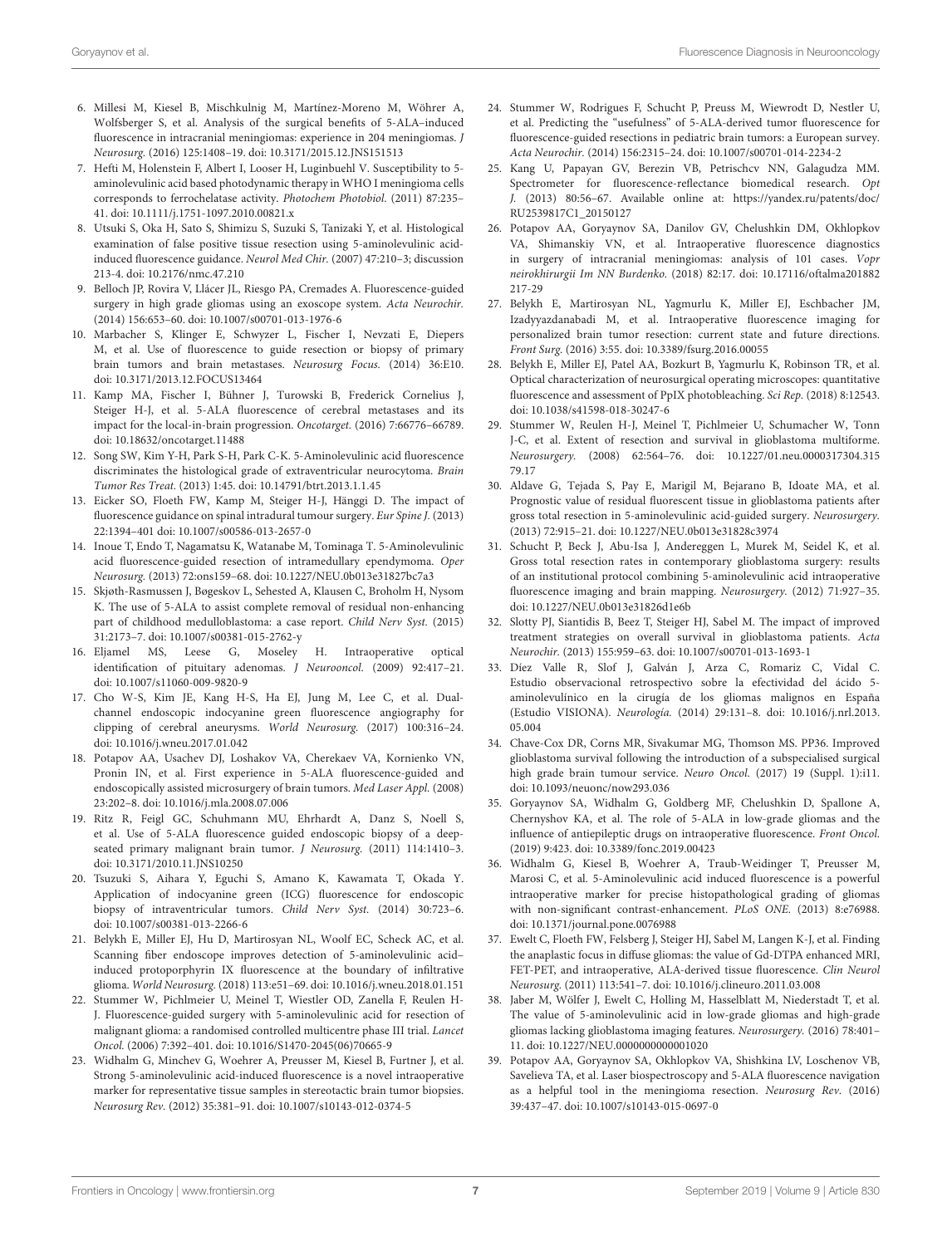- 6. Millesi M, Kiesel B, Mischkulnig M, Martínez-Moreno M, Wöhrer A, Wolfsberger S, et al. Analysis of the surgical benefits of 5-ALA–induced fluorescence in intracranial meningiomas: experience in 204 meningiomas. J Neurosurg. (2016) 125:1408–19. doi: [10.3171/2015.12.JNS151513](https://doi.org/10.3171/2015.12.JNS151513)
- <span id="page-7-0"></span>7. Hefti M, Holenstein F, Albert I, Looser H, Luginbuehl V. Susceptibility to 5 aminolevulinic acid based photodynamic therapy in WHO I meningioma cells corresponds to ferrochelatase activity. Photochem Photobiol. (2011) 87:235– 41. doi: [10.1111/j.1751-1097.2010.00821.x](https://doi.org/10.1111/j.1751-1097.2010.00821.x)
- <span id="page-7-1"></span>8. Utsuki S, Oka H, Sato S, Shimizu S, Suzuki S, Tanizaki Y, et al. Histological examination of false positive tissue resection using 5-aminolevulinic acidinduced fluorescence guidance. Neurol Med Chir. (2007) 47:210–3; discussion 213-4. doi: [10.2176/nmc.47.210](https://doi.org/10.2176/nmc.47.210)
- 9. Belloch JP, Rovira V, Llácer JL, Riesgo PA, Cremades A. Fluorescence-guided surgery in high grade gliomas using an exoscope system. Acta Neurochir. (2014) 156:653–60. doi: [10.1007/s00701-013-1976-6](https://doi.org/10.1007/s00701-013-1976-6)
- <span id="page-7-16"></span>10. Marbacher S, Klinger E, Schwyzer L, Fischer I, Nevzati E, Diepers M, et al. Use of fluorescence to guide resection or biopsy of primary brain tumors and brain metastases. Neurosurg Focus. (2014) 36:E10. doi: [10.3171/2013.12.FOCUS13464](https://doi.org/10.3171/2013.12.FOCUS13464)
- <span id="page-7-2"></span>11. Kamp MA, Fischer I, Bühner J, Turowski B, Frederick Cornelius J, Steiger H-J, et al. 5-ALA fluorescence of cerebral metastases and its impact for the local-in-brain progression. Oncotarget. (2016) 7:66776–66789. doi: [10.18632/oncotarget.11488](https://doi.org/10.18632/oncotarget.11488)
- <span id="page-7-3"></span>12. Song SW, Kim Y-H, Park S-H, Park C-K. 5-Aminolevulinic acid fluorescence discriminates the histological grade of extraventricular neurocytoma. Brain Tumor Res Treat. (2013) 1:45. doi: [10.14791/btrt.2013.1.1.45](https://doi.org/10.14791/btrt.2013.1.1.45)
- <span id="page-7-4"></span>13. Eicker SO, Floeth FW, Kamp M, Steiger H-J, Hänggi D. The impact of fluorescence guidance on spinal intradural tumour surgery. Eur Spine J. (2013) 22:1394–401 doi: [10.1007/s00586-013-2657-0](https://doi.org/10.1007/s00586-013-2657-0)
- <span id="page-7-5"></span>14. Inoue T, Endo T, Nagamatsu K, Watanabe M, Tominaga T. 5-Aminolevulinic acid fluorescence-guided resection of intramedullary ependymoma. Oper Neurosurg. (2013) 72:ons159–68. doi: [10.1227/NEU.0b013e31827bc7a3](https://doi.org/10.1227/NEU.0b013e31827bc7a3)
- <span id="page-7-6"></span>15. Skjøth-Rasmussen J, Bøgeskov L, Sehested A, Klausen C, Broholm H, Nysom K. The use of 5-ALA to assist complete removal of residual non-enhancing part of childhood medulloblastoma: a case report. Child Nerv Syst. (2015) 31:2173–7. doi: [10.1007/s00381-015-2762-y](https://doi.org/10.1007/s00381-015-2762-y)
- <span id="page-7-7"></span>16. Eljamel MS, Leese G, Moseley H. Intraoperative optical identification of pituitary adenomas. J Neurooncol. (2009) 92:417–21. doi: [10.1007/s11060-009-9820-9](https://doi.org/10.1007/s11060-009-9820-9)
- <span id="page-7-8"></span>17. Cho W-S, Kim JE, Kang H-S, Ha EJ, Jung M, Lee C, et al. Dualchannel endoscopic indocyanine green fluorescence angiography for clipping of cerebral aneurysms. World Neurosurg. (2017) 100:316–24. doi: [10.1016/j.wneu.2017.01.042](https://doi.org/10.1016/j.wneu.2017.01.042)
- <span id="page-7-19"></span>18. Potapov AA, Usachev DJ, Loshakov VA, Cherekaev VA, Kornienko VN, Pronin IN, et al. First experience in 5-ALA fluorescence-guided and endoscopically assisted microsurgery of brain tumors. Med Laser Appl. (2008) 23:202–8. doi: [10.1016/j.mla.2008.07.006](https://doi.org/10.1016/j.mla.2008.07.006)
- <span id="page-7-27"></span>19. Ritz R, Feigl GC, Schuhmann MU, Ehrhardt A, Danz S, Noell S, et al. Use of 5-ALA fluorescence guided endoscopic biopsy of a deepseated primary malignant brain tumor. J Neurosurg. (2011) 114:1410–3. doi: [10.3171/2010.11.JNS10250](https://doi.org/10.3171/2010.11.JNS10250)
- 20. Tsuzuki S, Aihara Y, Eguchi S, Amano K, Kawamata T, Okada Y. Application of indocyanine green (ICG) fluorescence for endoscopic biopsy of intraventricular tumors. Child Nerv Syst. (2014) 30:723–6. doi: [10.1007/s00381-013-2266-6](https://doi.org/10.1007/s00381-013-2266-6)
- <span id="page-7-9"></span>21. Belykh E, Miller EJ, Hu D, Martirosyan NL, Woolf EC, Scheck AC, et al. Scanning fiber endoscope improves detection of 5-aminolevulinic acid– induced protoporphyrin IX fluorescence at the boundary of infiltrative glioma. World Neurosurg. (2018) 113:e51–69. doi: [10.1016/j.wneu.2018.01.151](https://doi.org/10.1016/j.wneu.2018.01.151)
- <span id="page-7-10"></span>22. Stummer W, Pichlmeier U, Meinel T, Wiestler OD, Zanella F, Reulen H-J. Fluorescence-guided surgery with 5-aminolevulinic acid for resection of malignant glioma: a randomised controlled multicentre phase III trial. Lancet Oncol. (2006) 7:392–401. doi: [10.1016/S1470-2045\(06\)70665-9](https://doi.org/10.1016/S1470-2045(06)70665-9)
- <span id="page-7-11"></span>23. Widhalm G, Minchev G, Woehrer A, Preusser M, Kiesel B, Furtner J, et al. Strong 5-aminolevulinic acid-induced fluorescence is a novel intraoperative marker for representative tissue samples in stereotactic brain tumor biopsies. Neurosurg Rev. (2012) 35:381–91. doi: [10.1007/s10143-012-0374-5](https://doi.org/10.1007/s10143-012-0374-5)
- <span id="page-7-12"></span>24. Stummer W, Rodrigues F, Schucht P, Preuss M, Wiewrodt D, Nestler U, et al. Predicting the "usefulness" of 5-ALA-derived tumor fluorescence for fluorescence-guided resections in pediatric brain tumors: a European survey. Acta Neurochir. (2014) 156:2315–24. doi: [10.1007/s00701-014-2234-2](https://doi.org/10.1007/s00701-014-2234-2)
- <span id="page-7-13"></span>25. Kang U, Papayan GV, Berezin VB, Petrischcv NN, Galagudza MM. Spectrometer for fluorescence-reflectance biomedical research. Opt J. (2013) 80:56–67. Available online at: [https://yandex.ru/patents/doc/](https://yandex.ru/patents/doc/RU2539817C1_20150127) [RU2539817C1\\_20150127](https://yandex.ru/patents/doc/RU2539817C1_20150127)
- <span id="page-7-14"></span>26. Potapov AA, Goryaynov SA, Danilov GV, Chelushkin DM, Okhlopkov VA, Shimanskiy VN, et al. Intraoperative fluorescence diagnostics in surgery of intracranial meningiomas: analysis of 101 cases. Vopr neirokhirurgii Im NN Burdenko. [\(2018\) 82:17. doi: 10.17116/oftalma201882](https://doi.org/10.17116/oftalma201882217-29) 217-29
- 27. Belykh E, Martirosyan NL, Yagmurlu K, Miller EJ, Eschbacher JM, Izadyyazdanabadi M, et al. Intraoperative fluorescence imaging for personalized brain tumor resection: current state and future directions. Front Surg. (2016) 3:55. doi: [10.3389/fsurg.2016.00055](https://doi.org/10.3389/fsurg.2016.00055)
- <span id="page-7-15"></span>28. Belykh E, Miller EJ, Patel AA, Bozkurt B, Yagmurlu K, Robinson TR, et al. Optical characterization of neurosurgical operating microscopes: quantitative fluorescence and assessment of PpIX photobleaching. Sci Rep. (2018) 8:12543. doi: [10.1038/s41598-018-30247-6](https://doi.org/10.1038/s41598-018-30247-6)
- <span id="page-7-17"></span>29. Stummer W, Reulen H-J, Meinel T, Pichlmeier U, Schumacher W, Tonn J-C, et al. Extent of resection and survival in glioblastoma multiforme. Neurosurgery. [\(2008\) 62:564–76. doi: 10.1227/01.neu.0000317304.315](https://doi.org/10.1227/01.neu.0000317304.31579.17) 79.17
- <span id="page-7-26"></span>30. Aldave G, Tejada S, Pay E, Marigil M, Bejarano B, Idoate MA, et al. Prognostic value of residual fluorescent tissue in glioblastoma patients after gross total resection in 5-aminolevulinic acid-guided surgery. Neurosurgery. (2013) 72:915–21. doi: [10.1227/NEU.0b013e31828c3974](https://doi.org/10.1227/NEU.0b013e31828c3974)
- <span id="page-7-21"></span>31. Schucht P, Beck J, Abu-Isa J, Andereggen L, Murek M, Seidel K, et al. Gross total resection rates in contemporary glioblastoma surgery: results of an institutional protocol combining 5-aminolevulinic acid intraoperative fluorescence imaging and brain mapping. Neurosurgery. (2012) 71:927–35. doi: [10.1227/NEU.0b013e31826d1e6b](https://doi.org/10.1227/NEU.0b013e31826d1e6b)
- <span id="page-7-18"></span>32. Slotty PJ, Siantidis B, Beez T, Steiger HJ, Sabel M. The impact of improved treatment strategies on overall survival in glioblastoma patients. Acta Neurochir. (2013) 155:959–63. doi: [10.1007/s00701-013-1693-1](https://doi.org/10.1007/s00701-013-1693-1)
- 33. Díez Valle R, Slof J, Galván J, Arza C, Romariz C, Vidal C. Estudio observacional retrospectivo sobre la efectividad del ácido 5 aminolevulínico en la cirugía de los gliomas malignos en España (Estudio VISIONA). Neurología. [\(2014\) 29:131–8. doi: 10.1016/j.nrl.2013.](https://doi.org/10.1016/j.nrl.2013.05.004) 05.004
- <span id="page-7-20"></span>34. Chave-Cox DR, Corns MR, Sivakumar MG, Thomson MS. PP36. Improved glioblastoma survival following the introduction of a subspecialised surgical high grade brain tumour service. Neuro Oncol. (2017) 19 (Suppl. 1):i11. doi: [10.1093/neuonc/now293.036](https://doi.org/10.1093/neuonc/now293.036)
- <span id="page-7-22"></span>35. Goryaynov SA, Widhalm G, Goldberg MF, Chelushkin D, Spallone A, Chernyshov KA, et al. The role of 5-ALA in low-grade gliomas and the influence of antiepileptic drugs on intraoperative fluorescence. Front Oncol. (2019) 9:423. doi: [10.3389/fonc.2019.00423](https://doi.org/10.3389/fonc.2019.00423)
- <span id="page-7-23"></span>36. Widhalm G, Kiesel B, Woehrer A, Traub-Weidinger T, Preusser M, Marosi C, et al. 5-Aminolevulinic acid induced fluorescence is a powerful intraoperative marker for precise histopathological grading of gliomas with non-significant contrast-enhancement. PLoS ONE. (2013) 8:e76988. doi: [10.1371/journal.pone.0076988](https://doi.org/10.1371/journal.pone.0076988)
- 37. Ewelt C, Floeth FW, Felsberg J, Steiger HJ, Sabel M, Langen K-J, et al. Finding the anaplastic focus in diffuse gliomas: the value of Gd-DTPA enhanced MRI, FET-PET, and intraoperative, ALA-derived tissue fluorescence. Clin Neurol Neurosurg. (2011) 113:541–7. doi: [10.1016/j.clineuro.2011.03.008](https://doi.org/10.1016/j.clineuro.2011.03.008)
- <span id="page-7-24"></span>38. Jaber M, Wölfer J, Ewelt C, Holling M, Hasselblatt M, Niederstadt T, et al. The value of 5-aminolevulinic acid in low-grade gliomas and high-grade gliomas lacking glioblastoma imaging features. Neurosurgery. (2016) 78:401– 11. doi: [10.1227/NEU.0000000000001020](https://doi.org/10.1227/NEU.0000000000001020)
- <span id="page-7-25"></span>39. Potapov AA, Goryaynov SA, Okhlopkov VA, Shishkina LV, Loschenov VB, Savelieva TA, et al. Laser biospectroscopy and 5-ALA fluorescence navigation as a helpful tool in the meningioma resection. Neurosurg Rev. (2016) 39:437–47. doi: [10.1007/s10143-015-0697-0](https://doi.org/10.1007/s10143-015-0697-0)